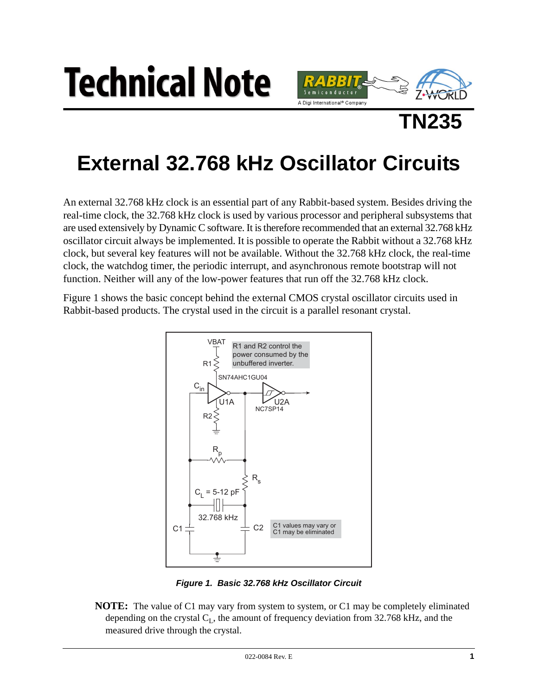



N235

# **External 32.768 kHz Oscillator Circuits**

An external 32.768 kHz clock is an essential part of any Rabbit-based system. Besides driving the real-time clock, the 32.768 kHz clock is used by various processor and peripheral subsystems that are used extensively by Dynamic C software. It is therefore recommended that an external 32.768 kHz oscillator circuit always be implemented. It is possible to operate the Rabbit without a 32.768 kHz clock, but several key features will not be available. Without the 32.768 kHz clock, the real-time clock, the watchdog timer, the periodic interrupt, and asynchronous remote bootstrap will not function. Neither will any of the low-power features that run off the 32.768 kHz clock.

Figure 1 shows the basic concept behind the external CMOS crystal oscillator circuits used in Rabbit-based products. The crystal used in the circuit is a parallel resonant crystal.



Figure 1. Basic 32.768 kHz Oscillator Circuit

<span id="page-0-0"></span>**NOTE:** The value of C1 may vary from system to system, or C1 may be completely eliminated depending on the crystal  $C_L$ , the amount of frequency deviation from 32.768 kHz, and the measured drive through the crystal.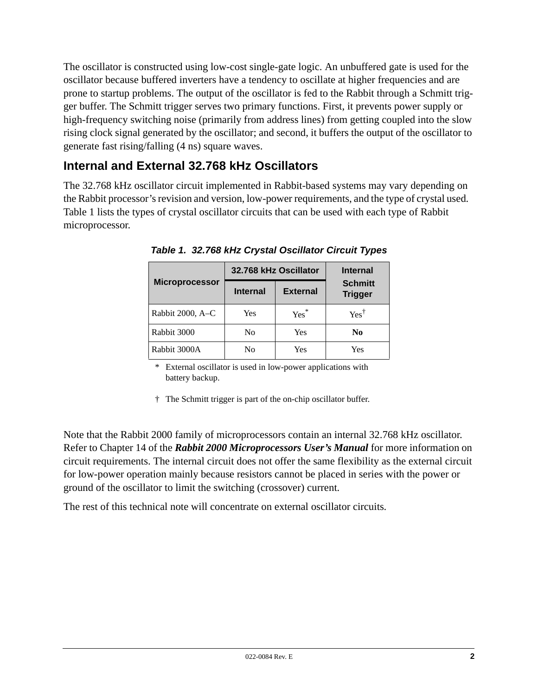The oscillator is constructed using low-cost single-gate logic. An unbuffered gate is used for the oscillator because buffered inverters have a tendency to oscillate at higher frequencies and are prone to startup problems. The output of the oscillator is fed to the Rabbit through a Schmitt trigger buffer. The Schmitt trigger serves two primary functions. First, it prevents power supply or high-frequency switching noise (primarily from address lines) from getting coupled into the slow rising clock signal generated by the oscillator; and second, it buffers the output of the oscillator to generate fast rising/falling (4 ns) square waves.

# **Internal and External 32.768 kHz Oscillators**

<span id="page-1-0"></span>The 32.768 kHz oscillator circuit implemented in Rabbit-based systems may vary depending on the Rabbit processor's revision and version, low-power requirements, and the type of crystal used. [Table 1](#page-1-0) lists the types of crystal oscillator circuits that can be used with each type of Rabbit microprocessor.

|                       | 32.768 kHz Oscillator |                 | <b>Internal</b>                  |
|-----------------------|-----------------------|-----------------|----------------------------------|
| <b>Microprocessor</b> | <b>Internal</b>       | <b>External</b> | <b>Schmitt</b><br><b>Trigger</b> |
| Rabbit 2000, A-C      | Yes                   | $Yes^*$         | $Yes^{\dagger}$                  |
| Rabbit 3000           | No                    | Yes             | N <sub>0</sub>                   |
| Rabbit 3000A          | No                    | Yes             | Yes                              |

*Table 1. 32.768 kHz Crystal Oscillator Circuit Types*

\* External oscillator is used in low-power applications with battery backup.

† The Schmitt trigger is part of the on-chip oscillator buffer.

Note that the Rabbit 2000 family of microprocessors contain an internal 32.768 kHz oscillator. Refer to Chapter 14 of the *Rabbit 2000 Microprocessors User's Manual* for more information on circuit requirements. The internal circuit does not offer the same flexibility as the external circuit for low-power operation mainly because resistors cannot be placed in series with the power or ground of the oscillator to limit the switching (crossover) current.

The rest of this technical note will concentrate on external oscillator circuits.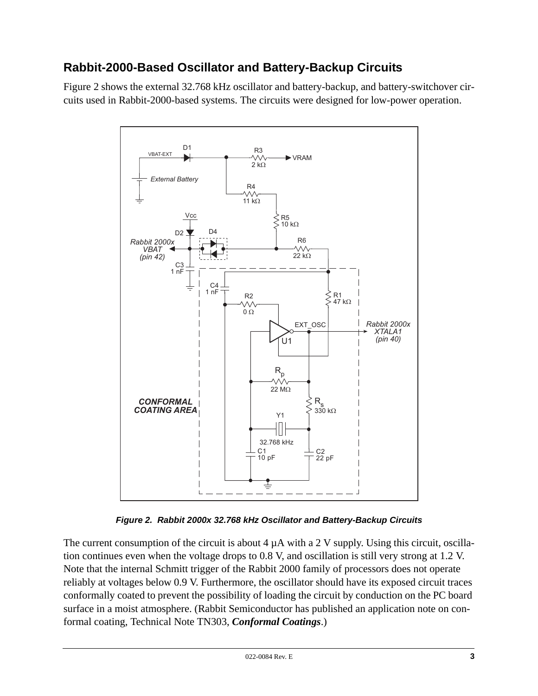# **Rabbit-2000-Based Oscillator and Battery-Backup Circuits**

[Figure 2](#page-2-0) shows the external 32.768 kHz oscillator and battery-backup, and battery-switchover circuits used in Rabbit-2000-based systems. The circuits were designed for low-power operation.



*Figure 2. Rabbit 2000x 32.768 kHz Oscillator and Battery-Backup Circuits*

<span id="page-2-0"></span>The current consumption of the circuit is about  $4 \mu A$  with a 2 V supply. Using this circuit, oscillation continues even when the voltage drops to 0.8 V, and oscillation is still very strong at 1.2 V. Note that the internal Schmitt trigger of the Rabbit 2000 family of processors does not operate reliably at voltages below 0.9 V. Furthermore, the oscillator should have its exposed circuit traces conformally coated to prevent the possibility of loading the circuit by conduction on the PC board surface in a moist atmosphere. (Rabbit Semiconductor has published an application note on conformal coating, Technical Note TN303, *Conformal Coatings*.)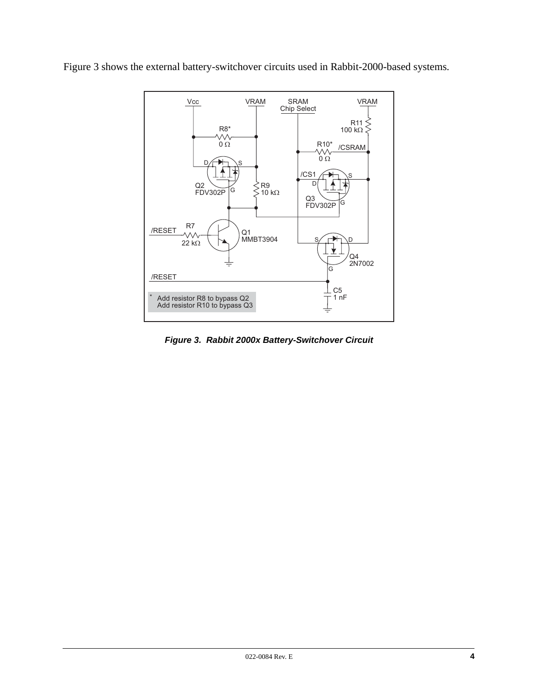Figure 3 shows the external battery-switchover circuits used in Rabbit-2000-based systems.



<span id="page-3-0"></span>Figure 3. Rabbit 2000x Battery-Switchover Circuit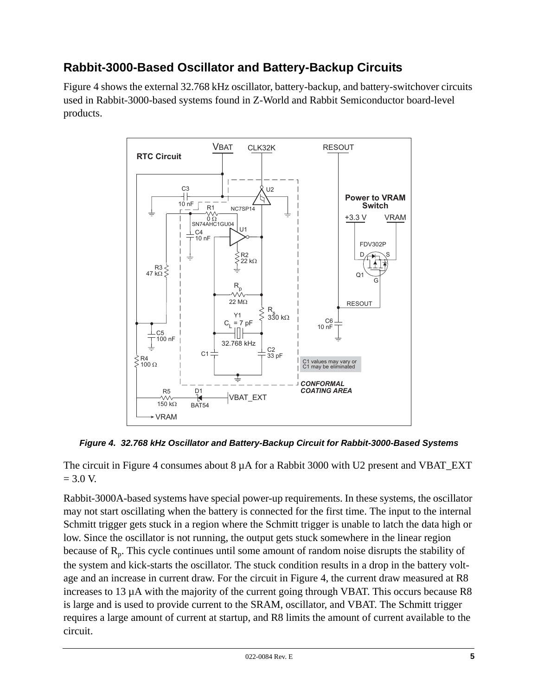# **Rabbit-3000-Based Oscillator and Battery-Backup Circuits**

[Figure 4](#page-4-0) shows the external 32.768 kHz oscillator, battery-backup, and battery-switchover circuits used in Rabbit-3000-based systems found in Z-World and Rabbit Semiconductor board-level products.



<span id="page-4-0"></span>*Figure 4. 32.768 kHz Oscillator and Battery-Backup Circuit for Rabbit-3000-Based Systems*

The circuit in [Figure 4](#page-4-0) consumes about  $8 \mu A$  for a Rabbit 3000 with U2 present and VBAT\_EXT  $= 3.0 V.$ 

Rabbit-3000A-based systems have special power-up requirements. In these systems, the oscillator may not start oscillating when the battery is connected for the first time. The input to the internal Schmitt trigger gets stuck in a region where the Schmitt trigger is unable to latch the data high or low. Since the oscillator is not running, the output gets stuck somewhere in the linear region because of  $R_p$ . This cycle continues until some amount of random noise disrupts the stability of the system and kick-starts the oscillator. The stuck condition results in a drop in the battery voltage and an increase in current draw. For the circuit in [Figure 4,](#page-4-0) the current draw measured at R8 increases to 13 µA with the majority of the current going through VBAT. This occurs because R8 is large and is used to provide current to the SRAM, oscillator, and VBAT. The Schmitt trigger requires a large amount of current at startup, and R8 limits the amount of current available to the circuit.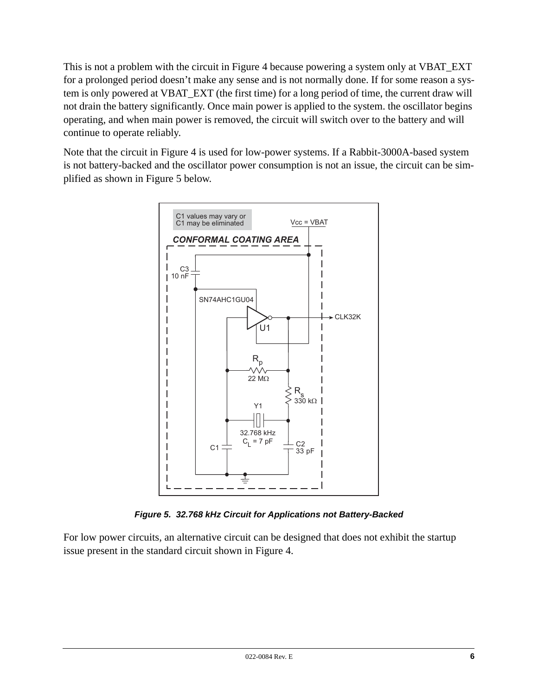This is not a problem with the circuit in Figure 4 because powering a system only at VBAT\_EXT for a prolonged period doesn't make any sense and is not normally done. If for some reason a system is only powered at VBAT\_EXT (the first time) for a long period of time, the current draw will not drain the battery significantly. Once main power is applied to the system, the oscillator begins operating, and when main power is removed, the circuit will switch over to the battery and will continue to operate reliably.

Note that the circuit in Figure 4 is used for low-power systems. If a Rabbit-3000A-based system is not battery-backed and the oscillator power consumption is not an issue, the circuit can be simplified as shown in Figure 5 below.



Figure 5. 32.768 kHz Circuit for Applications not Battery-Backed

<span id="page-5-0"></span>For low power circuits, an alternative circuit can be designed that does not exhibit the startup issue present in the standard circuit shown in Figure 4.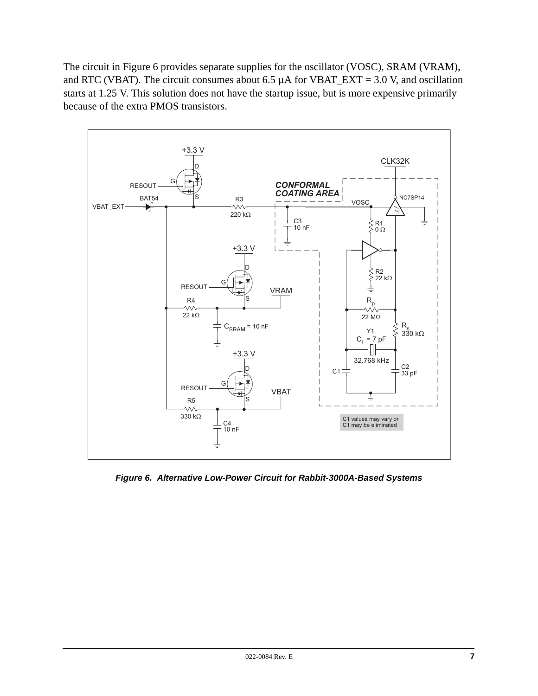The circuit in Figure 6 provides separate supplies for the oscillator (VOSC), SRAM (VRAM), and RTC (VBAT). The circuit consumes about 6.5  $\mu$ A for VBAT\_EXT = 3.0 V, and oscillation starts at 1.25 V. This solution does not have the startup issue, but is more expensive primarily because of the extra PMOS transistors.



<span id="page-6-0"></span>Figure 6. Alternative Low-Power Circuit for Rabbit-3000A-Based Systems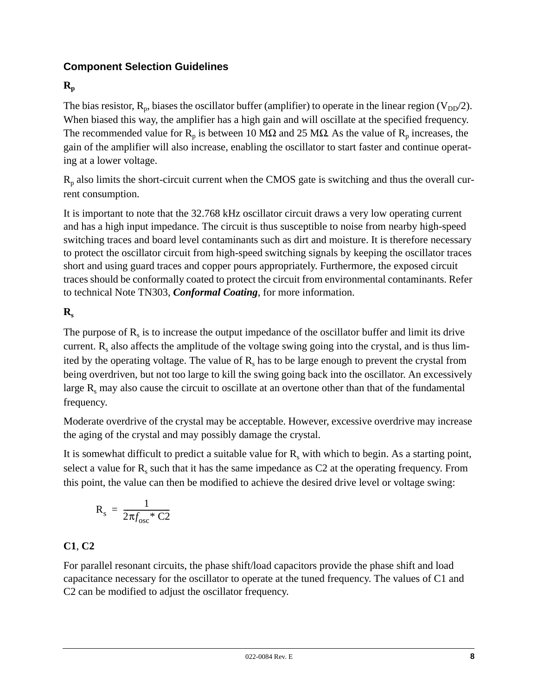## **Component Selection Guidelines**

# $\mathbf{R}_{\rm p}$

The bias resistor,  $R_p$ , biases the oscillator buffer (amplifier) to operate in the linear region ( $V_{DD}/2$ ). When biased this way, the amplifier has a high gain and will oscillate at the specified frequency. The recommended value for  $R_p$  is between 10 M $\Omega$  and 25 M $\Omega$ . As the value of  $R_p$  increases, the gain of the amplifier will also increase, enabling the oscillator to start faster and continue operating at a lower voltage.

 $R_p$  also limits the short-circuit current when the CMOS gate is switching and thus the overall current consumption.

It is important to note that the 32.768 kHz oscillator circuit draws a very low operating current and has a high input impedance. The circuit is thus susceptible to noise from nearby high-speed switching traces and board level contaminants such as dirt and moisture. It is therefore necessary to protect the oscillator circuit from high-speed switching signals by keeping the oscillator traces short and using guard traces and copper pours appropriately. Furthermore, the exposed circuit traces should be conformally coated to protect the circuit from environmental contaminants. Refer to technical Note TN303, *Conformal Coating*, for more information.

## $\mathbf{R}_s$

The purpose of  $R_s$  is to increase the output impedance of the oscillator buffer and limit its drive current.  $R_s$  also affects the amplitude of the voltage swing going into the crystal, and is thus limited by the operating voltage. The value of  $R_s$  has to be large enough to prevent the crystal from being overdriven, but not too large to kill the swing going back into the oscillator. An excessively large  $R_s$  may also cause the circuit to oscillate at an overtone other than that of the fundamental frequency.

Moderate overdrive of the crystal may be acceptable. However, excessive overdrive may increase the aging of the crystal and may possibly damage the crystal.

It is somewhat difficult to predict a suitable value for  $R_s$  with which to begin. As a starting point, select a value for  $R_s$  such that it has the same impedance as C2 at the operating frequency. From this point, the value can then be modified to achieve the desired drive level or voltage swing:

$$
R_s = \frac{1}{2\pi f_{osc} * C2}
$$

### **C1**, **C2**

For parallel resonant circuits, the phase shift/load capacitors provide the phase shift and load capacitance necessary for the oscillator to operate at the tuned frequency. The values of C1 and C2 can be modified to adjust the oscillator frequency.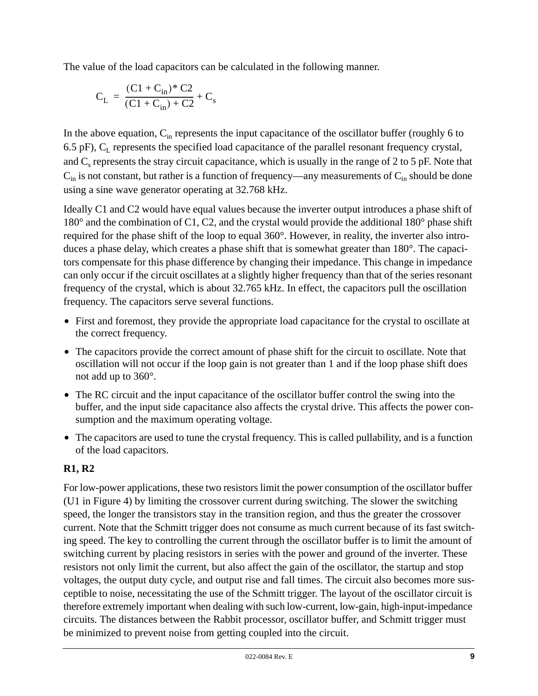The value of the load capacitors can be calculated in the following manner.

$$
C_{L} = \frac{(C1 + C_{in})^{*} C2}{(C1 + C_{in}) + C2} + C_{s}
$$

In the above equation,  $C_{in}$  represents the input capacitance of the oscillator buffer (roughly 6 to 6.5 pF),  $C_L$  represents the specified load capacitance of the parallel resonant frequency crystal, and  $C_s$  represents the stray circuit capacitance, which is usually in the range of 2 to 5 pF. Note that  $C_{in}$  is not constant, but rather is a function of frequency—any measurements of  $C_{in}$  should be done using a sine wave generator operating at 32.768 kHz.

Ideally C1 and C2 would have equal values because the inverter output introduces a phase shift of 180° and the combination of C1, C2, and the crystal would provide the additional 180° phase shift required for the phase shift of the loop to equal 360°. However, in reality, the inverter also introduces a phase delay, which creates a phase shift that is somewhat greater than 180°. The capacitors compensate for this phase difference by changing their impedance. This change in impedance can only occur if the circuit oscillates at a slightly higher frequency than that of the series resonant frequency of the crystal, which is about 32.765 kHz. In effect, the capacitors pull the oscillation frequency. The capacitors serve several functions.

- **•** First and foremost, they provide the appropriate load capacitance for the crystal to oscillate at the correct frequency.
- The capacitors provide the correct amount of phase shift for the circuit to oscillate. Note that oscillation will not occur if the loop gain is not greater than 1 and if the loop phase shift does not add up to 360°.
- **•** The RC circuit and the input capacitance of the oscillator buffer control the swing into the buffer, and the input side capacitance also affects the crystal drive. This affects the power consumption and the maximum operating voltage.
- The capacitors are used to tune the crystal frequency. This is called pullability, and is a function of the load capacitors.

### **R1, R2**

For low-power applications, these two resistors limit the power consumption of the oscillator buffer (U1 in [Figure 4\)](#page-4-0) by limiting the crossover current during switching. The slower the switching speed, the longer the transistors stay in the transition region, and thus the greater the crossover current. Note that the Schmitt trigger does not consume as much current because of its fast switching speed. The key to controlling the current through the oscillator buffer is to limit the amount of switching current by placing resistors in series with the power and ground of the inverter. These resistors not only limit the current, but also affect the gain of the oscillator, the startup and stop voltages, the output duty cycle, and output rise and fall times. The circuit also becomes more susceptible to noise, necessitating the use of the Schmitt trigger. The layout of the oscillator circuit is therefore extremely important when dealing with such low-current, low-gain, high-input-impedance circuits. The distances between the Rabbit processor, oscillator buffer, and Schmitt trigger must be minimized to prevent noise from getting coupled into the circuit.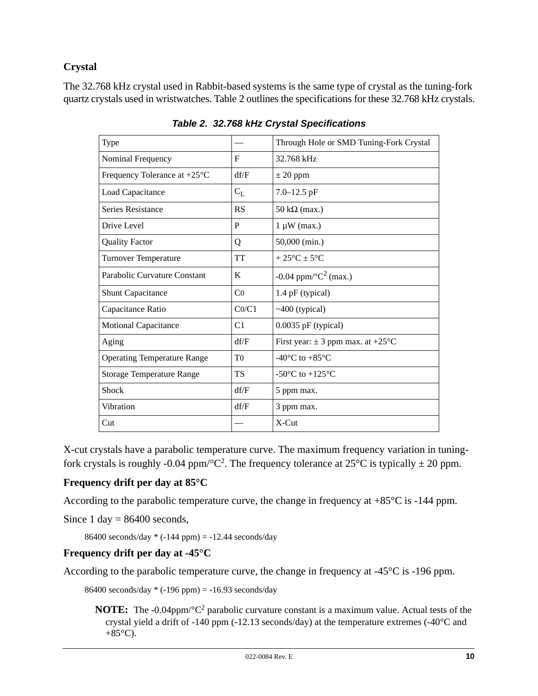#### **Crystal**

<span id="page-9-0"></span>The 32.768 kHz crystal used in Rabbit-based systems is the same type of crystal as the tuning-fork quartz crystals used in wristwatches. [Table 2](#page-9-0) outlines the specifications for these 32.768 kHz crystals.

| Type                                   |                | Through Hole or SMD Tuning-Fork Crystal       |
|----------------------------------------|----------------|-----------------------------------------------|
| Nominal Frequency                      | $\mathbf F$    | 32.768 kHz                                    |
| Frequency Tolerance at $+25^{\circ}$ C | df/F           | $\pm 20$ ppm                                  |
| Load Capacitance                       | $C_{L}$        | $7.0 - 12.5$ pF                               |
| Series Resistance                      | RS             | $50 \text{ k}\Omega \text{ (max.)}$           |
| Drive Level                            | P              | $1 \mu W$ (max.)                              |
| <b>Quality Factor</b>                  | Q              | 50,000 (min.)                                 |
| <b>Turnover Temperature</b>            | <b>TT</b>      | $+25^{\circ}$ C $\pm$ 5°C                     |
| Parabolic Curvature Constant           | K              | $-0.04$ ppm/ $^{\circ}C^{2}$ (max.)           |
| <b>Shunt Capacitance</b>               | C <sub>0</sub> | 1.4 pF (typical)                              |
| Capacitance Ratio                      | CO/C1          | $~100$ (typical)                              |
| <b>Motional Capacitance</b>            | C <sub>1</sub> | $0.0035$ pF (typical)                         |
| Aging                                  | df/F           | First year: $\pm$ 3 ppm max. at +25°C         |
| <b>Operating Temperature Range</b>     | T <sub>0</sub> | -40 $^{\circ}$ C to +85 $^{\circ}$ C          |
| <b>Storage Temperature Range</b>       | <b>TS</b>      | -50 $\rm{^{\circ}C}$ to +125 $\rm{^{\circ}C}$ |
| Shock                                  | df/F           | 5 ppm max.                                    |
| Vibration                              | df/F           | 3 ppm max.                                    |
| Cut                                    |                | $X$ -Cut                                      |

*Table 2. 32.768 kHz Crystal Specifications*

X-cut crystals have a parabolic temperature curve. The maximum frequency variation in tuningfork crystals is roughly -0.04 ppm/ $^{\circ}C^2$ . The frequency tolerance at 25 $^{\circ}C$  is typically  $\pm$  20 ppm.

#### **Frequency drift per day at 85°C**

According to the parabolic temperature curve, the change in frequency at +85°C is -144 ppm.

Since  $1 \text{ day} = 86400$  seconds,

86400 seconds/day  $*(-144$  ppm $) = -12.44$  seconds/day

#### **Frequency drift per day at -45°C**

According to the parabolic temperature curve, the change in frequency at -45°C is -196 ppm.

86400 seconds/day \* (-196 ppm) = -16.93 seconds/day

**NOTE:** The -0.04ppm/°C2 parabolic curvature constant is a maximum value. Actual tests of the crystal yield a drift of -140 ppm (-12.13 seconds/day) at the temperature extremes (-40°C and  $+85^{\circ}$ C).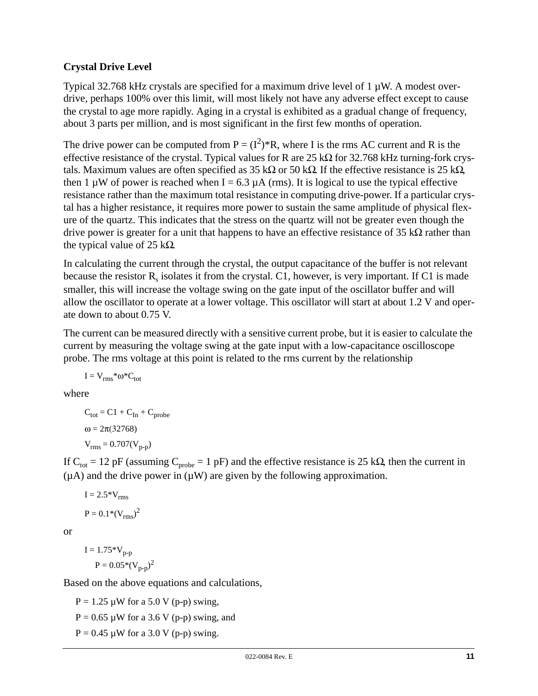#### **Crystal Drive Level**

Typical 32.768 kHz crystals are specified for a maximum drive level of 1 µW. A modest overdrive, perhaps 100% over this limit, will most likely not have any adverse effect except to cause the crystal to age more rapidly. Aging in a crystal is exhibited as a gradual change of frequency, about 3 parts per million, and is most significant in the first few months of operation.

The drive power can be computed from  $P = (I^2)^*R$ , where I is the rms AC current and R is the effective resistance of the crystal. Typical values for R are  $25 \text{ k}\Omega$  for  $32.768 \text{ kHz}$  turning-fork crystals. Maximum values are often specified as 35 kΩ or 50 kΩ. If the effective resistance is 25 kΩ, then 1  $\mu$ W of power is reached when I = 6.3  $\mu$ A (rms). It is logical to use the typical effective resistance rather than the maximum total resistance in computing drive-power. If a particular crystal has a higher resistance, it requires more power to sustain the same amplitude of physical flexure of the quartz. This indicates that the stress on the quartz will not be greater even though the drive power is greater for a unit that happens to have an effective resistance of 35 kΩ rather than the typical value of 25 k $\Omega$ .

In calculating the current through the crystal, the output capacitance of the buffer is not relevant because the resistor  $R_s$  isolates it from the crystal. C1, however, is very important. If C1 is made smaller, this will increase the voltage swing on the gate input of the oscillator buffer and will allow the oscillator to operate at a lower voltage. This oscillator will start at about 1.2 V and operate down to about 0.75 V.

The current can be measured directly with a sensitive current probe, but it is easier to calculate the current by measuring the voltage swing at the gate input with a low-capacitance oscilloscope probe. The rms voltage at this point is related to the rms current by the relationship

 $I = V_{rms} * \omega * C_{tot}$ 

where

 $C_{\text{tot}} = C1 + C_{\text{In}} + C_{\text{probe}}$  $ω = 2π(32768)$  $V_{rms} = 0.707(V_{n-n})$ 

If C<sub>tot</sub> = 12 pF (assuming C<sub>probe</sub> = 1 pF) and the effective resistance is 25 kΩ, then the current in  $(\mu A)$  and the drive power in  $(\mu W)$  are given by the following approximation.

$$
I = 2.5*V_{rms}
$$

$$
P = 0.1* (V_{rms})^2
$$

or

 $I = 1.75*V_{p-p}$  $P = 0.05*(V_{p-p})^2$ 

Based on the above equations and calculations,

 $P = 1.25 \mu W$  for a 5.0 V (p-p) swing,  $P = 0.65 \mu W$  for a 3.6 V (p-p) swing, and  $P = 0.45 \mu W$  for a 3.0 V (p-p) swing.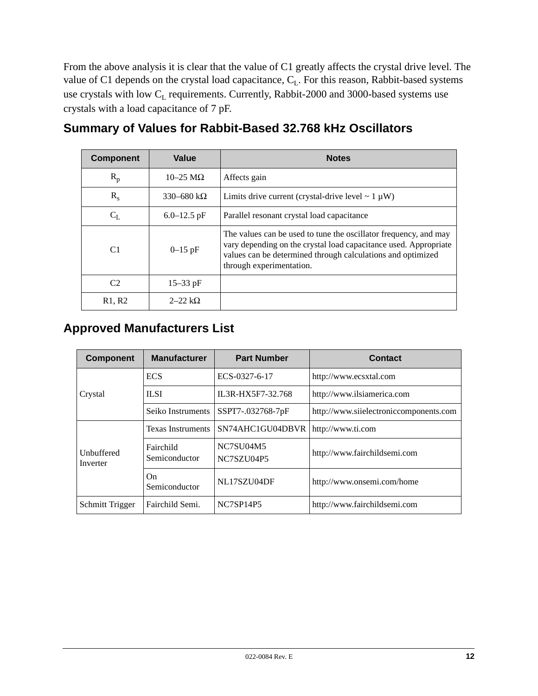From the above analysis it is clear that the value of C1 greatly affects the crystal drive level. The value of C1 depends on the crystal load capacitance, C<sub>L</sub>. For this reason, Rabbit-based systems use crystals with low  $C_L$  requirements. Currently, Rabbit-2000 and 3000-based systems use crystals with a load capacitance of 7 pF.

| <b>Component</b>                | Value                   | <b>Notes</b>                                                                                                                                                                                                                    |  |
|---------------------------------|-------------------------|---------------------------------------------------------------------------------------------------------------------------------------------------------------------------------------------------------------------------------|--|
| $R_p$                           | $10-25 \text{ M}\Omega$ | Affects gain                                                                                                                                                                                                                    |  |
| $R_{s}$                         | 330–680 k $\Omega$      | Limits drive current (crystal-drive level $\sim 1 \mu W$ )                                                                                                                                                                      |  |
| $C_{L}$                         | $6.0 - 12.5$ pF         | Parallel resonant crystal load capacitance                                                                                                                                                                                      |  |
| C <sub>1</sub>                  | $0 - 15$ pF             | The values can be used to tune the oscillator frequency, and may<br>vary depending on the crystal load capacitance used. Appropriate<br>values can be determined through calculations and optimized<br>through experimentation. |  |
| C2                              | $15 - 33$ pF            |                                                                                                                                                                                                                                 |  |
| R <sub>1</sub> , R <sub>2</sub> | $2-22$ kΩ               |                                                                                                                                                                                                                                 |  |

## **Summary of Values for Rabbit-Based 32.768 kHz Oscillators**

# **Approved Manufacturers List**

| <b>Component</b>       | <b>Manufacturer</b>        | <b>Part Number</b>      | <b>Contact</b>                         |
|------------------------|----------------------------|-------------------------|----------------------------------------|
| Crystal                | <b>ECS</b>                 | ECS-0327-6-17           | http://www.ecsxtal.com                 |
|                        | <b>ILSI</b>                | IL3R-HX5F7-32.768       | http://www.ilsiamerica.com             |
|                        | Seiko Instruments          | SSPT7-.032768-7pF       | http://www.siielectroniccomponents.com |
| Unbuffered<br>Inverter | <b>Texas Instruments</b>   | SN74AHC1GU04DBVR        | http://www.ti.com                      |
|                        | Fairchild<br>Semiconductor | NC7SU04M5<br>NC7SZU04P5 | http://www.fairchildsemi.com           |
|                        | On.<br>Semiconductor       | NL17SZU04DF             | http://www.onsemi.com/home             |
| Schmitt Trigger        | Fairchild Semi.            | NC7SP14P5               | http://www.fairchildsemi.com           |